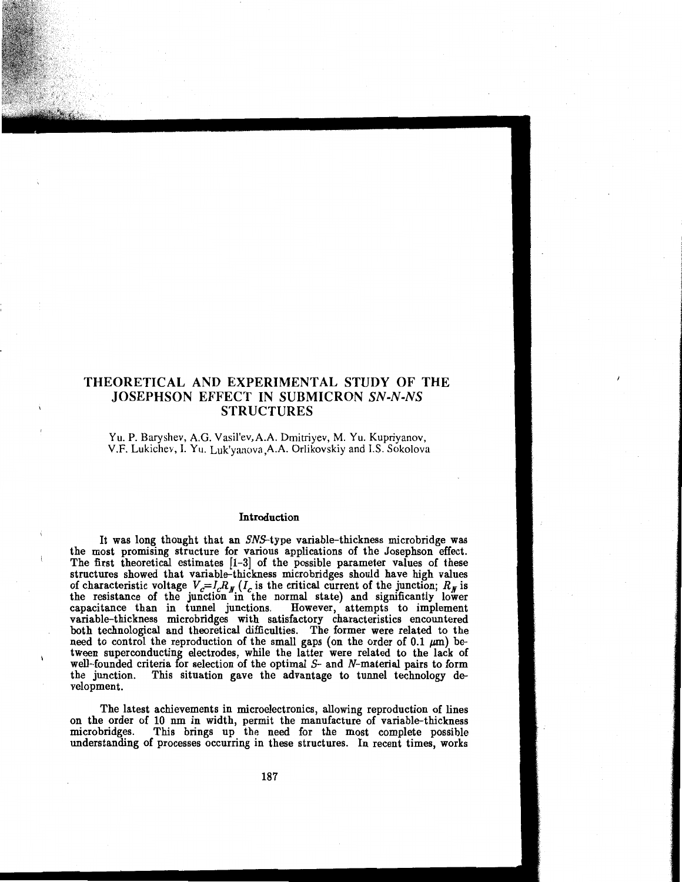# THEORETICAL AND EXPERIMENTAL STUDY OF THE JOSEPHSON EFFECT IN SUBMICRON *SN-N-NS*  STRUCTURES

Yu. P. Baryshev, A.G. Vasil'ev,A.A. Dmitriyev, M. Yu. Kupriyanov, V.F. Lukichev, I. Yu. Luk'yanova,A.A. Orlikovskiy and I.S. Sokolova

#### Introduction

It was long thought that an SNS-type variable-thickness microbridge was the most promising structure for various applications of the Josephson effect. The first theoretical estimates [1-3] of the possible parameter values of these structures showed that variable-thickness microbridges should have high values of characteristic voltage  $V_c=I_cR_g$  ( $I_c$  is the critical current of the junction;  $R_g$  is the resistance of the junction in the normal state) and significantly lower capacitance than in tunnel junctions. However, attempts to implement variable-thickness microbridges with satisfactory characteristics encountered both technological and theoretical difficulties. The former were related to the need to control the reproduction of the small gaps (on the order of 0.1  $\mu$ m) between superconducting electrodes, while the latter were related to the lack of well-founded criteria for selection of the optimal  $S-$  and  $N-$  material pairs to form the junction. This situation gave the advantage to tunnel technology development.

The latest achievements in microelectronics, allowing reproduction of lines on the order of 10 nm in width, permit the manufacture of variable-thickness microbridges. This brings up the need for the most complete possible understanding of processes occurring in these structures. In recent times, works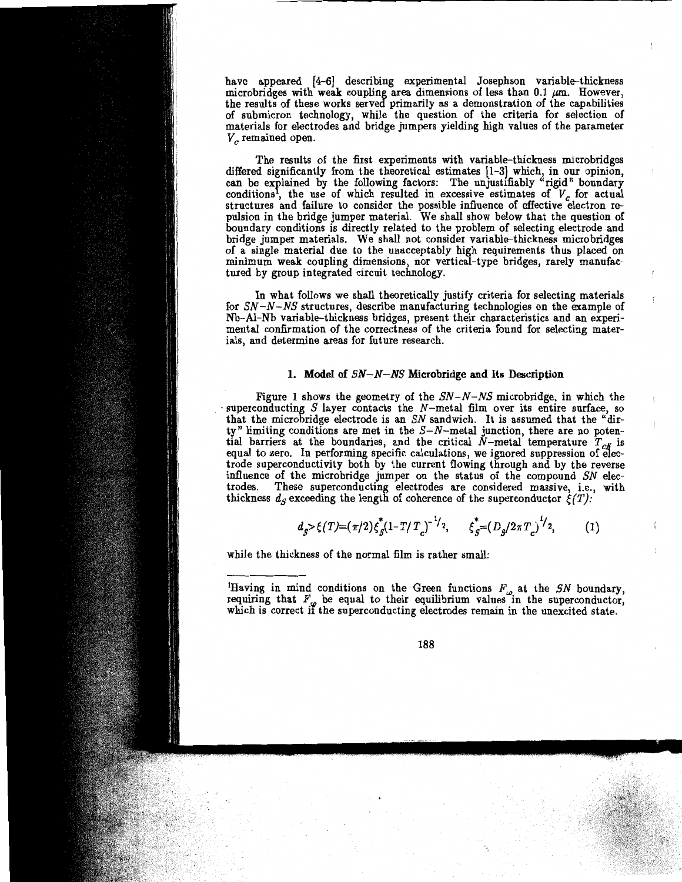have appeared (4-6] describing experimental Josephson variable-thickness microbridges with weak coupling area dimensions of less than 0.1  $\mu$ m. However, the results of these works served primarily as a demonstration of the capabilities of submicron technology, while the question of the criteria for selection of materials for electrodes and bridge jumpers yielding high values of the parameter *V<sub>c</sub>* remained open.

The results of the first experiments with variable-thickness microbridges differed significantly from the theoretical estimates [1-3] which, in our opinion, can be explained by the following factors: The unjustifiably "rigid" boundary conditions<sup>1</sup>, the use of which resulted in excessive estimates of  $V_c$  for actual structures and failure to consider the possible influence of effective electron repulsion in the bridge jumper material. We shall show below that the question of boundary conditions is directly related to the problem of selecting electrode and bridge jumper materials. We shall not consider variable-thickness microbridges of a single material due to the unacceptably high requirements thus placed on minimum weak coupling dimensions, nor vertical-type bridges, rarely manufactured by group integrated circuit technology.

In what follows we shall theoretically justify criteria for selecting materials for SN-N-NS structures, describe manufacturing technologies on the example of Nb-Al-Nb variable-thickness bridges, present their characteristics and an experimental confirmation of the correctness of the criteria found for selecting materials, and determine areas for future research.

### 1. Model of  $SN-N-NS$  Microbridge and Its Description

Figure 1 shows the geometry of the  $SN-N-NS$  microbridge, in which the superconducting *S* layer contacts the N-metal film over its entire surface, so that the microbridge electrode is an SN sandwich. It is assumed that the "dirty" limiting conditions are met in the  $S-N$ -metal junction, there are no potential barriers at the boundaries, and the critical  $N$ -metal temperature  $T_{cN}$  is equal to zero. In performing specific calculations, we ignored suppression of electrode superconductivity both by the current flowing through and by the reverse influence of the microbridge jumper on the status of the compound SN electrodes. These superconducting electrodes are considered massive, i.e., with thickness  $d_S$  exceeding the length of coherence of the superconductor  $\xi(T)$ :

$$
d_{g} > \xi(T) = (\pi/2) \xi_{g}^{\dagger} (1 - T/T_{c})^{-1/2}, \qquad \xi_{g}^{\dagger} = (D_{g}/2\pi T_{c})^{1/2}, \qquad (1)
$$

while the thickness of the normal film is rather small:

<sup>1</sup>Having in mind conditions on the Green functions  $F_{\rho}$  at the SN boundary, requiring that  $F_{\omega}$  be equal to their equilibrium values in the superconductor, which is correct if the superconducting electrodes remain in the unexcited state.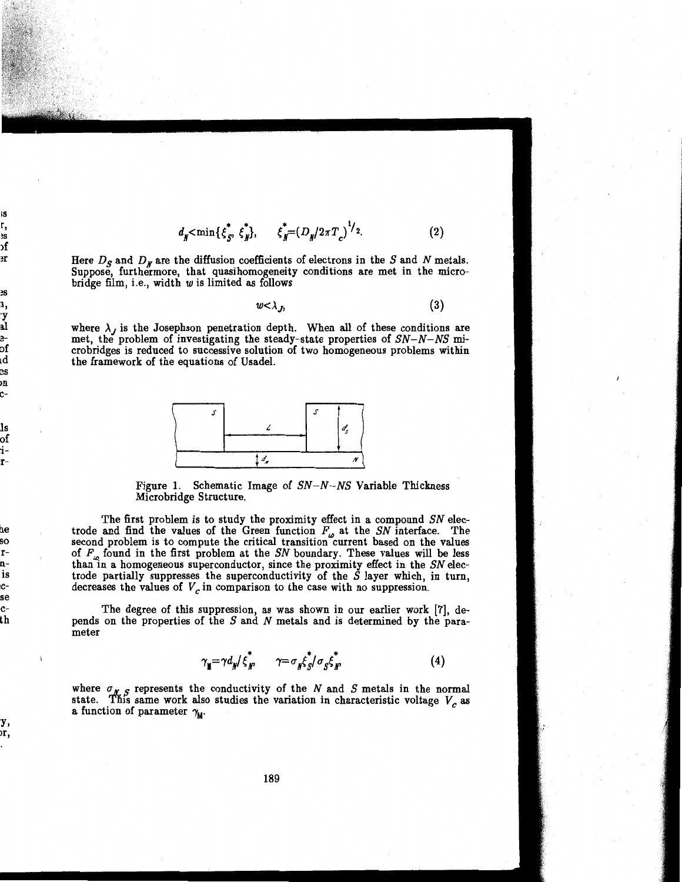$$
d_{\mathbf{N}} < \min\{\xi_S^*, \xi_N^*\}, \qquad \xi_N^* = (D_{\mathbf{N}}/2\pi T_c)^{1/2}.
$$
 (2)

Here  $D_S$  and  $D_M$  are the diffusion coefficients of electrons in the S and N metals. Suppose, furthermore, that quasihomogeneity conditions are met in the microbridge film, i.e., width  $w$  is limited as follows

$$
w < \lambda_J, \tag{3}
$$

where  $\lambda_J$  is the Josephson penetration depth. When all of these conditions are met, the problem of investigating the steady-state properties of  $SN-N-NS$  microbridges is reduced to successive solution of two homogeneous problems within the framework of the equations of Usadel.



Figure 1. Schematic Image of  $SN-N-NS$  Variable Thickness Microbridge Structure.

The first problem is to study the proximity effect in a compound SN electrode and find the values of the Green function  $F_{\omega}$  at the SN interface. The second problem is to compute the critical transition current based on the values of  $F_{\alpha}$  found in the first problem at the SN boundary. These values will be less than in a homogeneous superconductor, since the proximity effect in the SN electrode partially suppresses the superconductivity of the *S* layer which, in turn, decreases the values of  $V_c$  in comparison to the case with no suppression.

The degree of this suppression, as was shown in our earlier work [7], depends on the properties of the *S* and *N* metals and is determined by the parameter

$$
\gamma_{\mathbf{M}} = \gamma d_{\mathbf{N}} / \xi_{\mathbf{N}}^* \qquad \gamma = \sigma_{\mathbf{N}} \xi_{\mathbf{S}}^* / \sigma_{\mathbf{S}} \xi_{\mathbf{N}}^* \tag{4}
$$

where  $\sigma_{\gamma}$  *c* represents the conductivity of the *N* and *S* metals in the normal state. This same work also studies the variation in characteristic voltage  $V<sub>c</sub>$  as a function of parameter  $\gamma_{\text{M}}$ .

ry, or, !.

;s r, lS >f li

~s 11, :y a.l eof ld es m c-

ls of :i- ,r-

b.e so linis  $^{\circ}$ :se !Cth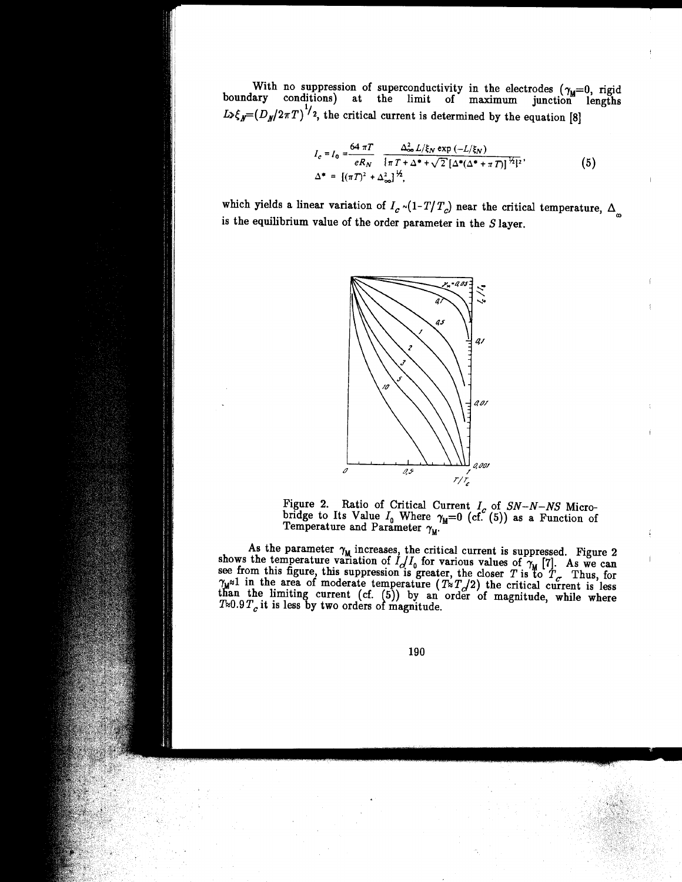With no suppression of superconductivity in the electrodes  $(\gamma_{\mathbf{u}}=0, \text{ rigid})$ boundary conditions) at the limit of maximum junction lengths  $L_{\lambda} \xi_{N} = (D_{N}/2\pi T)$ ., <sup>2</sup>, the critical current is determined by the equation [8]

$$
I_c = I_0 = \frac{64 \pi T}{eR_N} \frac{\Delta_{\infty}^2 L/\xi_N \exp(-L/\xi_N)}{\{\pi T + \Delta^* + \sqrt{2} [\Delta^*(\Delta^* + \pi T)]^{\frac{1}{2}}\}^2},
$$
(5)  

$$
\Delta^* = [(\pi T)^2 + \Delta_{\infty}^2]^{\frac{1}{2}}.
$$

which yields a linear variation of  $I_c \sim (1-T/T_c)$  near the critical temperature,  $\Delta_{\infty}$ is the equilibrium value of the order parameter in the  $S$  layer.



Figure 2. Ratio of Critical Current *I<sub>c</sub>* of SN-N-NS Microbridge to Its Value  $I_0$  Where  $\gamma_M=0$  (cf. (5)) as a Function of Temperature and Parameter  $\gamma_M$ .

As the parameter  $\gamma_M$  increases, the critical current is suppressed. Figure 2 shows the temperature variation of  $I_C/I_0$  for various values of  $\gamma_M$  [7]. As we can see from this figure, this suppression is greater, the c  $\gamma_M$ <sup>21</sup> in the area of moderate temperature ( $T \propto T_Q/2$ ) the critical current is less than the limiting current (cf.  $(5)$ ) by an order of magnitude, while where  $T\approx 0.9 T_c$  it is less by two orders of magnitude.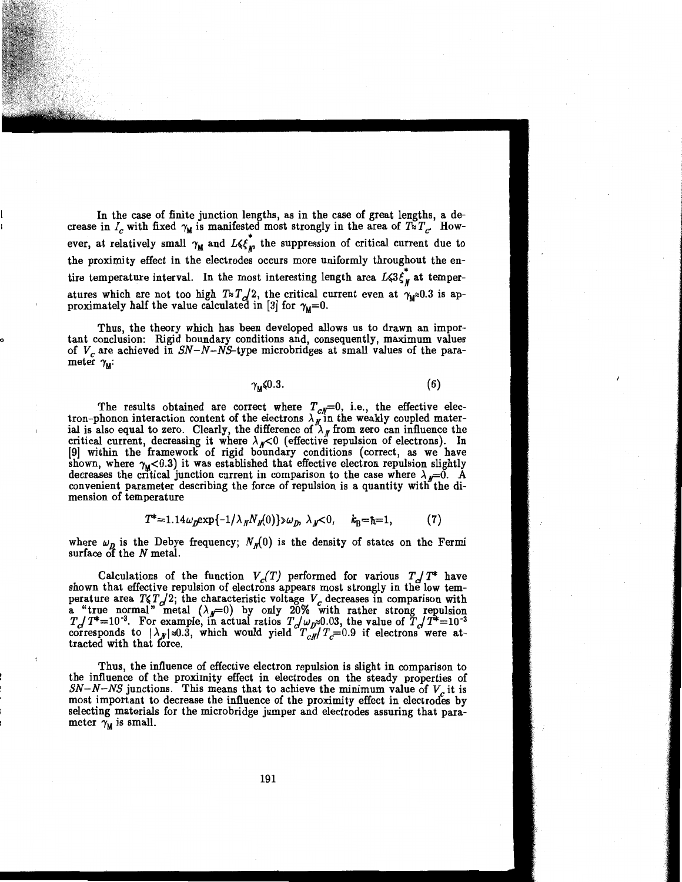In the case of finite junction lengths, as in the case of great lengths, a decrease in  $I_c$  with fixed  $\gamma_M$  is manifested most strongly in the area of  $T \overline{\times} T_c$ . However, at relatively small  $\gamma_M$  and  $L \leq \bar{K}$  the suppression of critical current due to the proximity effect in the electrodes occurs more uniformly throughout the en tire temperature interval. In the most interesting length area  $L(3\xi)$  at temperatures which are not too high  $T_{\approx} T_{\gamma}/2$ , the critical current even at  $\gamma_{\mu} \approx 0.3$  is approximately half the value calculated in [3] for  $\gamma_{\text{M}}=0$ .

Thus, the theory which has been developed allows us to drawn an important conclusion: Rigid boundary conditions and, consequently, maximum values of  $V_c$  are achieved in  $SN-N-NS$ -type microbridges at small values of the parameter  $\gamma_{\text{M}}$ :

0

l r  $\gamma_{\text{M}}$  (6) (6)

The results obtained are correct where  $T_{c} = 0$ , i.e., the effective electron-phonon interaction content of the electrons  $\lambda_{N}$  in the weakly coupled material is also equal to zero. Clearly, the difference of  $\lambda<sub>M</sub>$  from zero can influence the critical current, decreasing it where  $\lambda_{N}<0$  (effective repulsion of electrons). In [9] within the framework of rigid boundary conditions (correct, as we have shown, where  $\gamma_{\text{M}}$ <0.3) it was established that effective electron repulsion slightly decreases the critical junction current in comparison to the case where  $\lambda_{\mu}=0$ . A convenient parameter describing the force of repulsion is a quantity witli the dimension of temperature

$$
T^* = 1.14 \omega_p \exp\{-1/\lambda_p N_p(0)\} \omega_p, \lambda_p < 0, \quad k_B = \hbar = 1,\tag{7}
$$

where  $\omega_{\mathbf{p}}$  is the Debye frequency;  $N_{\mathbf{p}}(0)$  is the density of states on the Fermi surface of the N metal.

Calculations of the function  $V_c(T)$  performed for various  $T_a/T^*$  have shown that effective repulsion of electrons appears most strongly in the low temperature area  $T\zeta T_{\alpha}/2$ ; the characteristic voltage  $V_{\alpha}$  decreases in comparison with a "true normal" metal  $(\lambda_p=0)$  by only 20% with rather strong repulsion  $T \to T^* = 10^{-3}$ . For example, in actual ratios  $T \to \omega_p \approx 0.03$ , the value of  $T \to T^* = 10^{-3}$ corresponds to  $|\lambda_{\mathcal{N}}| \approx 0.3$ , which would yield  $T_{c\mathcal{N}}/T_c=0.9$  if electrons were at-<br>tracted with that force.

Thus, the influence of effective electron repulsion is slight in comparison to the influence of the proximity effect in electrodes on the steady properties of  $SN-N-NS$  junctions. This means that to achieve the minimum value of  $V_c$  it is most important to decrease the influence of the proximity effect in electrodes by selecting materials for the microbridge jumper and electrodes assuring that parameter  $\gamma_{\rm M}$  is small.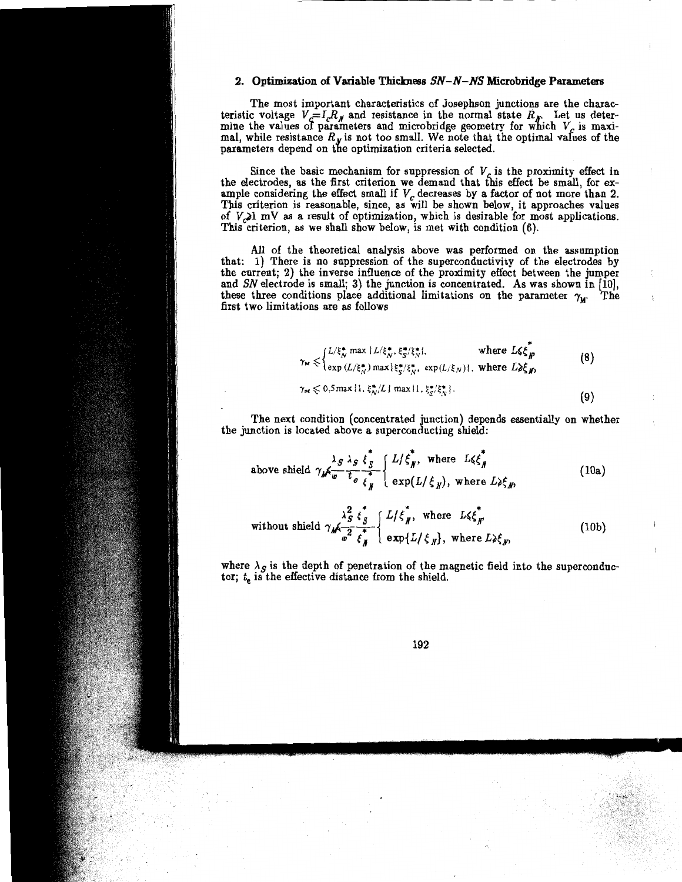### 2. Optimization of Variable Thickness  $SN-N-NS$  Microbridge Parameters

The most important characteristics of Josephson junctions are the characteristic voltage  $V_c = I_c R_g$  and resistance in the normal state  $R_g$ . Let us determine the values of parameters and microbridge geometry for which  $V_c$  is maximal, while resistance  $R_g$  is not too small. We note that the optimal values of the parameters depend on the optimization criteria selected.

Since the basic mechanism for suppression of  $V_c$  is the proximity effect in the electrodes, as the first criterion we demand that this effect be small, for example considering the effect small if  $V_c$  decreases by a factor of not more than 2. This criterion is reasonable, since, as will be shown below, it approaches values of  $V_{\sim}$ l mV as a result of optimization, which is desirable for most applications. This criterion, as we shall show below, is met with condition (6).

All of the theoretical analysis above was performed on the assumption that: 1) There is no suppression of the superconductivity of the electrodes by the current; 2) the inverse influence of the proximity effect between the jumper and *SN* electrode is small; 3) the junction is concentrated. As was shown in [10], these three conditions place additional limitations on the parameter  $\gamma_M$ . The first two limitations are as follows

$$
\gamma_{\mathsf{M}} \leq \begin{cases} L/\xi_N^* \max\{L/\xi_N^*, \xi_S^*/\xi_N^*\}, & \text{where } L\xi \xi_N^*\\ \exp\left(L/\xi_N^*\right) \max\{\xi_S^*/\xi_N^*, \exp\left(L/\xi_N\right)\}, & \text{where } L\lambda \xi_N, \end{cases} \tag{8}
$$
\n
$$
\gamma_{\mathsf{M}} \leq 0.5 \max\{1, \xi_N^* / L\} \max\{1, \xi_S^*/\xi_N^*\}. \tag{9}
$$

The next condition (concentrated junction) depends essentially on whether the junction is located above a superconducting shield:

above shield 
$$
\gamma_M \frac{\lambda_S}{w} \frac{\lambda_S}{t_e} \frac{\xi_S^*}{\xi_N^*}
$$
  $\begin{cases} L/\xi_N^*, \text{ where } L \leq \xi_N^* \\ \exp(L/\xi_N), \text{ where } L \geq \xi_N, \end{cases}$  (10a)

without shield  $\gamma_M \frac{\lambda_S^2}{\omega^2} \frac{\xi_S^*}{\xi_N^*} \begin{cases} L/\xi_N^* , & \text{where } L \leq \xi_N^* \\ \exp\{L/\xi_N\} , & \text{where } L \geq \xi_N, \end{cases}$  $(10<sub>b</sub>)$ 

where  $\lambda_S$  is the depth of penetration of the magnetic field into the superconductor;  $t_e$  is the effective distance from the shield.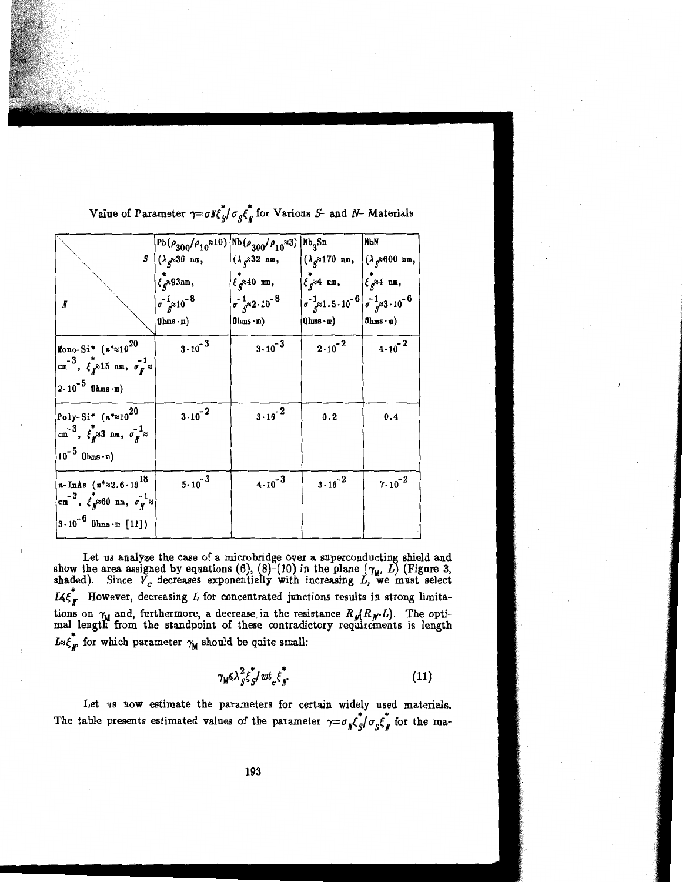|                                                                                                                                           | $Pb(\rho_{300}/\rho_{10}\approx10)\left[Nb(\rho_{300}/\rho_{10}\approx3)\right]$ Nb <sub>3</sub> Sn |                                                                                                                                                                   |                                                                                        | NЫN                                                  |
|-------------------------------------------------------------------------------------------------------------------------------------------|-----------------------------------------------------------------------------------------------------|-------------------------------------------------------------------------------------------------------------------------------------------------------------------|----------------------------------------------------------------------------------------|------------------------------------------------------|
|                                                                                                                                           | $S \bigcup (\lambda_S \approx 30 \text{ nm},$                                                       | $\big( \lambda_{S} \approx 32 \text{ nm},$                                                                                                                        | $\left  (\lambda_g \approx 170 \text{ nm}, \right  (\lambda_g \approx 600 \text{ nm},$ |                                                      |
|                                                                                                                                           | $\overline{\xi}_c$ $\approx$ 93nm,                                                                  | $\left  \xi_{c}^{*} \right $ am,                                                                                                                                  | $\left\{\begin{array}{c} \star \\ \xi \end{array} \right.$ and $\star$                 | $\left \int_{\mathcal{C}} \mathcal{E}^2 \right $ nm, |
| И                                                                                                                                         | $\sigma^{-1}_{c^{3/2}}10^{-8}$                                                                      | $\int \sigma \frac{1}{s^{\approx 2} \cdot 10^{-8}}$ $\int \sigma \frac{1}{s^{\approx 1} \cdot 5 \cdot 10^{-6}} \int \sigma \frac{1}{s^{\approx 3} \cdot 10^{-6}}$ |                                                                                        |                                                      |
|                                                                                                                                           | $0$ hms $\cdot$ m)                                                                                  | $0$ hms $\cdot$ m $)$                                                                                                                                             | $0$ hms $\cdot$ m $)$                                                                  | $ 0$ hms $\cdot$ m)                                  |
| Mono-Si* $(n*x10^{20})$                                                                                                                   | $3 \cdot 10^{-3}$                                                                                   | $3 \cdot 10^{-3}$                                                                                                                                                 | $2 \cdot 10^{-2}$                                                                      | $4 \cdot 10^{-2}$                                    |
| $\begin{pmatrix} -3 \\ \text{cm} \end{pmatrix}, \ \xi_N^*$ 315 nm, $\sigma_N^{-1}$ $\approx$                                              |                                                                                                     |                                                                                                                                                                   |                                                                                        |                                                      |
| $2 \cdot 10^{-5}$ Ohms $\cdot$ m)                                                                                                         |                                                                                                     |                                                                                                                                                                   |                                                                                        |                                                      |
| Poly-Si* $(n^{*}\approx 10^{20}$                                                                                                          | $3.10^{-2}$                                                                                         | $3 \cdot 10^{-2}$                                                                                                                                                 | 0.2                                                                                    | 0.4                                                  |
| $\begin{bmatrix} -3 \\ \text{cm} \end{bmatrix}$ , $\begin{bmatrix} \xi \\ y \end{bmatrix}$ a nm, $\sigma_y^{-1}$ a                        |                                                                                                     |                                                                                                                                                                   |                                                                                        |                                                      |
| $10^{-5}$ Ohms $\cdot$ m)                                                                                                                 |                                                                                                     |                                                                                                                                                                   |                                                                                        |                                                      |
| $ n-{\rm InAs}$ $(n^* \approx 2.6 \cdot 10^{18})$                                                                                         | $5 \cdot 10^{-3}$                                                                                   | $4 \cdot 10^{-3}$                                                                                                                                                 | $3 \cdot 10^{-2}$                                                                      | $7 \cdot 10^{-2}$                                    |
| $\begin{bmatrix} -3 \\ \text{cm} \end{bmatrix}$ , $\begin{bmatrix} \epsilon \\ y \end{bmatrix}$ $\times$ 60 nm, $\sigma_y^{-1}$ $\approx$ |                                                                                                     |                                                                                                                                                                   |                                                                                        |                                                      |
| $3 \cdot 10^{-6}$ Ohms $\cdot$ m [11])                                                                                                    |                                                                                                     |                                                                                                                                                                   |                                                                                        |                                                      |

Value of Parameter  $\gamma = \sigma K_{S}^* / \sigma_S \xi_N^*$  for Various S- and N- Materials

Let us analyze the case of a microbridge over a superconducting shield and show the area assigned by equations (6), (8)-(10) in the plane  $(\gamma_{\mathbf{u}}, L)$  (Figure 3, shaded). Since  $V_c$  decreases exponentially with increasing  $L$ , we must select  $L \leq \xi_{\textit{F}}^*$  However, decreasing L for concentrated junctions results in strong limitations on  $\gamma_{\mathbf{u}}$  and, furthermore, a decrease in the resistance  $R_{\mathbf{u}}(R_{\mathbf{u}^{\prime}}L)$ . The optimal length from the standpoint of these contradictory requirements is length  $L \leq \xi_m^*$  for which parameter  $\gamma_M$  should be quite small:

$$
\gamma_{\rm M} \zeta \lambda_S^2 \xi_S^* / w t_e \xi_N^* \tag{11}
$$

Let us now estimate the parameters for certain widely used materials. The table presents estimated values of the parameter  $\gamma = \sigma_{\mu} \xi_{S}^{\dagger} / \sigma_{S} \xi_{\mu}^{\dagger}$  for the ma-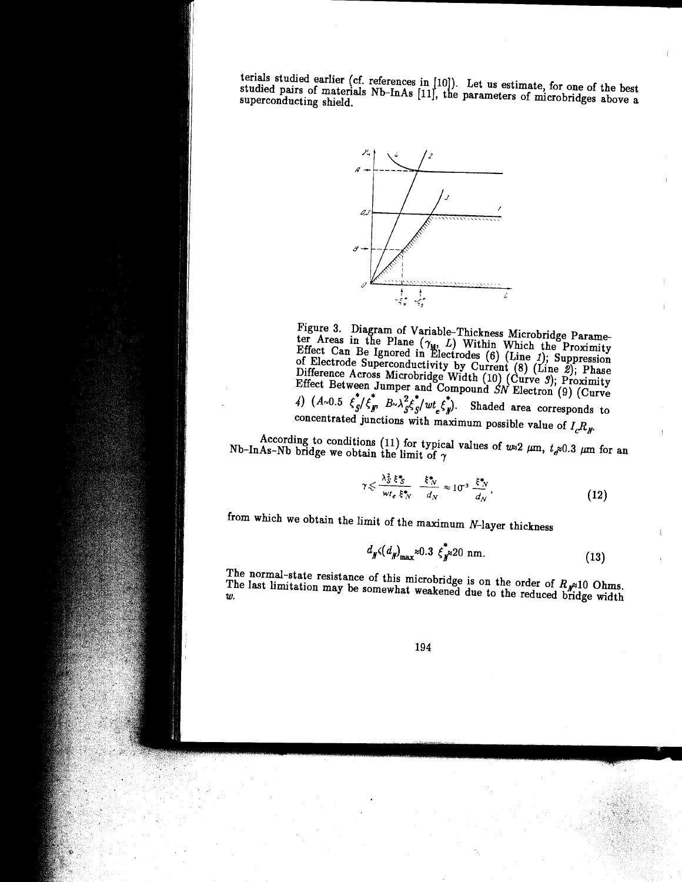terials studied earlier ( cf. references in [10]). Let us estimate, for one of the best studied pairs of materials Nb-InAs [11], the parameters of microbridges above a superconducting shield.



Figure 3. Diagram of Variable-Thickness Microbridge Parameter Areas in the Plane  $(\gamma_M, L)$  Within Which the Proximity Effect Can Be Ignored in ~lectrodes (6) (Line *1);* Suppression of Electrode Superconductivity by Current  $(8)$  (Line 2); Phase Difference Across Microbridge Width (10)  $(\text{Curve } 9)$ ; Proximity Effect Between Jumper and Compound SN Electron (9) (Curve 4)  $(A \sim 0.5 \xi_s^* / \xi_p^* B \sim \lambda_s^2 \xi_s^* / wt_s \xi_p^*).$  Shaded area corresponds to concentrated junctions with maximum possible value of  $I_c R_A$ 

According to conditions (11) for typical values of  $w \approx 2 \mu m$ ,  $t_{e} \approx 0.3 \mu m$  for an Nb-InAs-Nb bridge we obtain the limit of  $\gamma$ 

$$
\gamma \leqslant \frac{\lambda_S^2 \xi^*_{S}}{w t_e \xi^*_{N}} \frac{\xi^*_{N}}{d_N} \approx 10^{-3} \frac{\xi^*_{N}}{d_N}, \qquad (12)
$$

from which we obtain the limit of the maximum N-layer thickness

$$
d_{\boldsymbol{N}}(d_{\boldsymbol{N}})_{\text{max}} \approx 0.3 \, \boldsymbol{\xi}_{\boldsymbol{N}}^* \approx 20 \, \text{nm}. \tag{13}
$$

The normal-state resistance of this microbridge is on the order of  $R_{\text{v}}$  10 Ohms. The last limitation may be somewhat weakened due to the reduced bridge width *w.*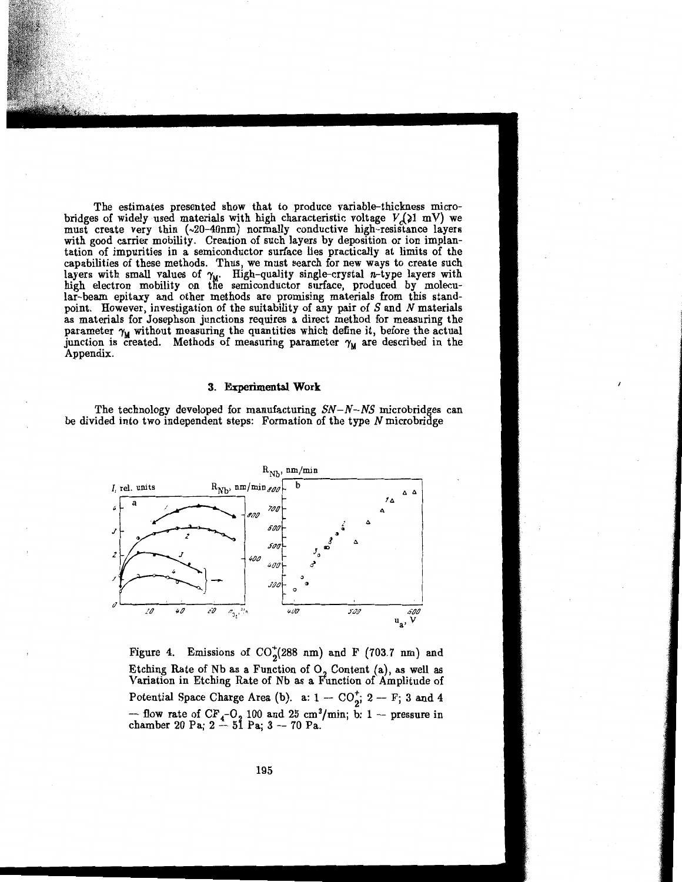The estimates presented show that to produce variable-thickness microbridges of widely used materials with high characteristic voltage  $V_c(1 \text{ mV})$  we must create very thin  $(\sim20-40$ nm) normally conductive high-resistance layers with good carrier mobility. Creation of such layers by deposition or ion implantation of impurities in a semiconductor surface lies practically at limits of the capabilities of these methods. Thus, we must search for new ways to create such layers with small values of  $\gamma_{\mathbf{u}}$ . High-quality single-crystal *n*-type layers with high electron mobility on the semiconductor surface, produced by molecular-beam epitaxy and other methods are promising materials from this standpoint. However, investigation of the suitability of any pair of  $S$  and  $N$  materials as materials for Josephson junctions requires a direct method for measuring the parameter  $\gamma_M$  without measuring the quantities which define it, before the actual junction is created. Methods of measuring parameter  $\gamma_M$  are described in the Appendix.

#### **3. Experimental Work**

The technology developed for manufacturing  $SN-N-NS$  microbridges can be divided into two independent steps: Formation of the type *N* microbridge



Figure 4. Emissions of  $CO_2^+(288 \text{ nm})$  and F (703.7 nm) and Etching Rate of Nb as a Function of  $O<sub>2</sub>$  Content (a), as well as Variation in Etching Rate of Nb as a Function of Amplitude of Potential Space Charge Area (b). a:  $1 - \text{CO}_2^+$ ;  $2 - \text{F}$ ; 3 and 4 -- flow rate of  $CF_4$ -O<sub>2</sub> 100 and 25 cm<sup>3</sup>/min; b: 1 -- pressure in chamber 20 Pa; 2 -- 51 Pa; 3 -- 70 Pa.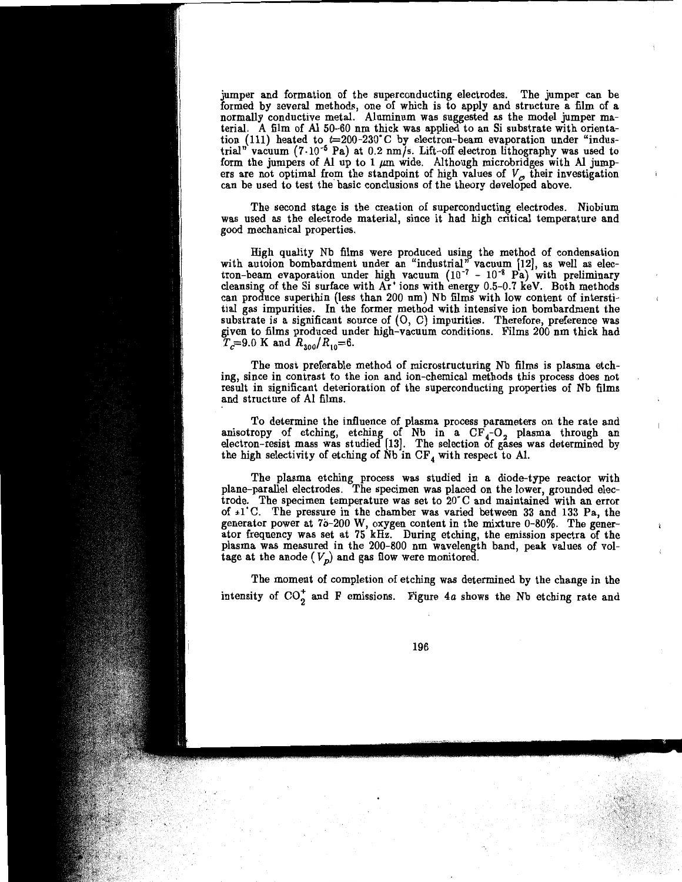jumper and formation of the superconducting electrodes. The jumper can be formed by several methods, one of which is to apply and structure a film of a normally conductive metal. Aluminum was suggested as the model jumper material. A film of Al 50-60 nm thick was applied to an Si substrate with orientation (111) heated to  $t=200-230$ °C by electron-beam evaporation under "industrial" vacuum (7·10-5 Pa) at 0.2 *nmfs.* Lift-off electron lithography was used to form the jumpers of Al up to 1  $\mu$ m wide. Although microbridges with Al jumpers are not optimal from the standpoint of high values of  $V_c$  their investigation can be used to test the basic conclusions of the theory developed above.

The second stage is the creation of superconducting electrodes. Niobium was used as the electrode material, since it had high critical temperature and good mechanical properties.

High quality Nb films were produced using the method of condensation with autoion bombardment under an "industrial" vacuum [12], as well as electron-beam evaporation under high vacuum  $(10^{-7} - 10^{-8} \text{ Pa})$  with preliminary cleansing of the Si surface with Ar<sup>+</sup> ions with energy 0.5-0.7 keV. Both methods can produce superthin (less than 200 nm) Nb films with low content of interstitial gas impurities. In the former method with intensive ion bombardment the substrate is a significant source of  $(O, C)$  impurities. Therefore, preference was given to films produced under high-vacuum conditions. Films 200 nm thick had  $\widetilde{T}_c=9.0$  K and  $R_{300}/R_{10}=6$ .

The most preferable method of microstructuring Nb films is plasma etching, since in contrast *to* the ion and ion-chemical methods this process does not result in significant deterioration of the superconducting properties of Nb films and structure of Al films.

To determine the influence of plasma process parameters on the rate and anisotropy of etching, etching of Nb in a  $CF<sub>4</sub>-O<sub>2</sub>$  plasma through an electron-resist mass was studied [13]. The selection of gases was determined by the high selectivity of etching of  $Nb$  in  $CF<sub>4</sub>$  with respect to Al.

The plasma etching process was studied in a diode-type reactor with plane-parallel electrodes. The specimen was placed on the lower, grounded electrode. The specimen temperature was set to 20" C and maintained with an error of  $\pm 1^{\circ}$ C. The pressure in the chamber was varied between 33 and 133 Pa, the generator power at 75-200 W, oxygen content in the mixture 0-80%. The generator frequency was set at 75 kHz. During etching, the emission spectra of the plasma was measured in the 200-800 nm wavelength band, peak values of voltage at the anode  $(V_p)$  and gas flow were monitored.

The moment of completion of etching was determined by the change in the intensity of  $CO_2^+$  and F emissions. Figure 4a shows the Nb etching rate and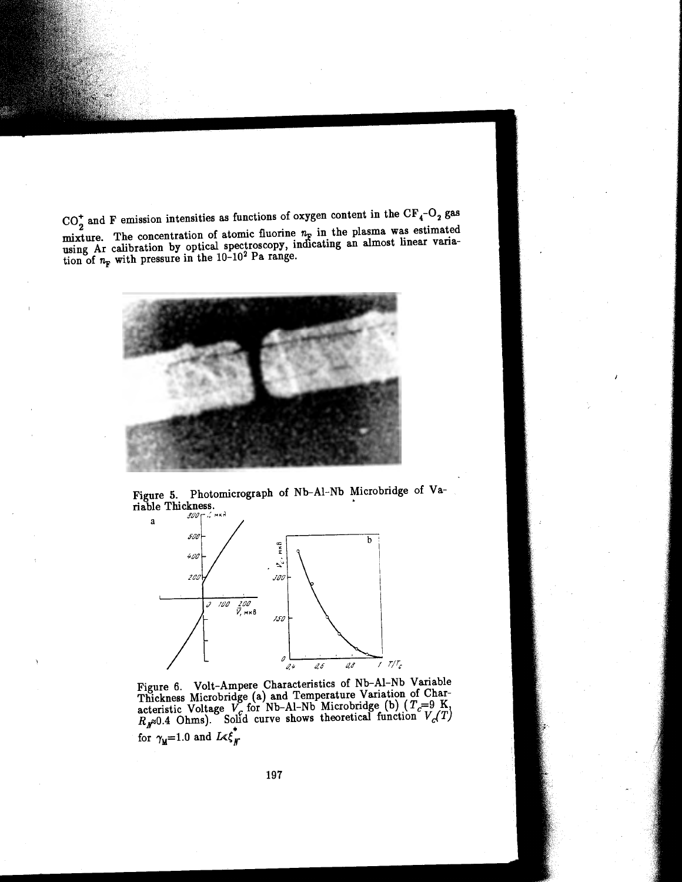$CO_2^+$  and F emission intensities as functions of oxygen content in the  $CF_4-O_2$  gas mixture. The concentration of atomic fluorine  $n_F$  in the plasma was estimated using Ar calibration by optical spectroscopy, ind1cating an almost linear variation of  $n_F$  with pressure in the  $10^{-10^2}$  Pa range.



Figure 5. Photomicrograph of Nb-Al-Nb Microbridge of Variable Thickness. •



Figure 6. Volt-Ampere Characteristics of Nb-Al-Nb Variable Thickness Microbridge (a) and Temperature Variation of Characteristic Voltage  $V_c$  for Nb-Al-Nb Microbridge (b)  $(T_c=9 \text{ K}, R_c/10)$ . Solid curve shows theoretical function  $V_c(T)$ for  $\gamma_{\text{M}}=1.0$  and  $L \ll \xi_N^*$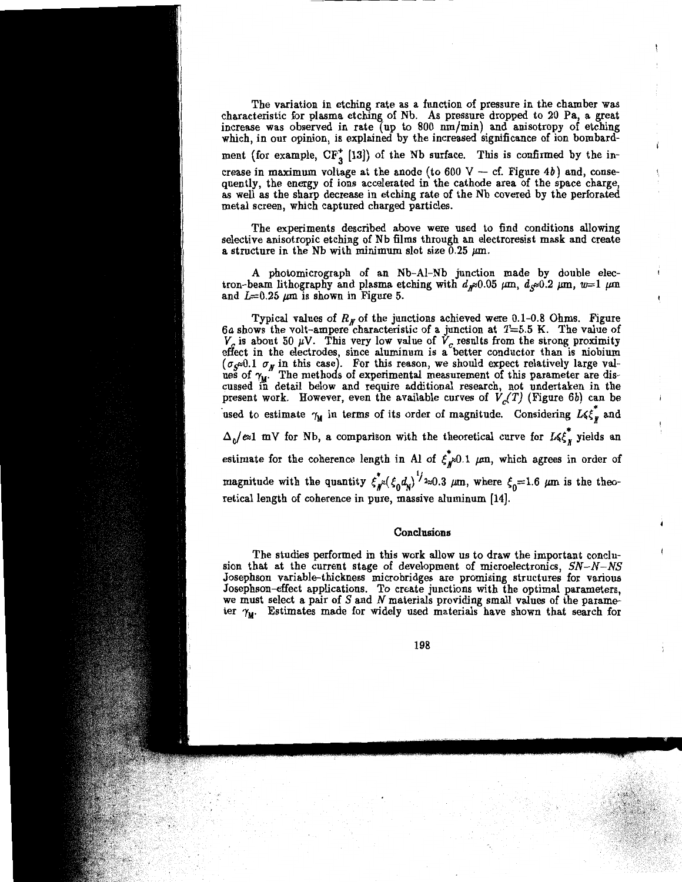The variation in etching rate as a function of pressure in the chamber was characteristic for plasma etching of Nb. As pressure dropped to 20 Pa, a great increase was observed in rate (up to 800 nm/min) and anisotropy of etching which, in our opinion, is explained by the increased significance of ion bombardment (for example,  $CF_3^+$  [13]) of the Nb surface. This is confirmed by the increase in maximum voltage at the anode (to 600 V -- cf. Figure  $4b$ ) and, consequently, the energy of ions accelerated in the cathode area of the space charge, as well as the sharp decrease in etching rate of the Nb covered by the perforated metal screen, which captured charged particles.

The experiments described above were used to find conditions allowing selective anisotropic etching of Nb films through an electroresist mask and create a structure in the Nb with minimum slot size  $0.25 \mu m$ .

A photomicrograph of an Nb-Al-Nb junction made by double electron-beam lithography and plasma etching with  $d_{\mathbf{x}^{\infty}}(0.05 \mu \text{m}, d_{\mathbf{x}^{\infty}}(0.2 \mu \text{m}, w=1 \mu \text{m})$ and  $L=0.25 \mu m$  is shown in Figure 5.

Typical values of  $R<sub>N</sub>$  of the junctions achieved were 0.1-0.8 Ohms. Figure 6a shows the volt-ampere characteristic of a junction at  $T=5.5$  K. The value of  $V_c$  is about 50  $\mu$ V. This very low value of  $V_c$  results from the strong proximity effect in the electrodes, since aluminum is a better conductor than is niobium  $(\sigma_{S^{\otimes}} 0.1 \ \sigma_{N}$  in this case). For this reason, we should expect relatively large valties of  $\gamma_{M}$ . The methods of experimental measurement of this parameter are discussed in detail below and require additional research, not undertaken in the present work. However, even the available curves of  $\dot{V}_c(T)$  (Figure 6b) can be used to estimate  $\gamma_M$  in terms of its order of magnitude. Considering  $L \leq \xi_M^*$  and  $\Delta_0/e$ <sup>2</sup> mV for Nb, a comparison with the theoretical curve for  $L\xi_{\mathbf{y}}^T$  yields an estimate for the coherence length in Al of  $\xi^*_{\mu}$ 0.1  $\mu$ m, which agrees in order of magnitude with the quantity  $\xi_{\rm M}^*({\xi_0d_{\rm N}})^{1/2} \approx 0.3$   $\mu$ m, where  $\xi_{\rm 0} = 1.6$   $\mu$ m is the theoretical length of coherence in pure, massive aluminum [14].

### **Conclusions**

The studies performed in this work allow us to draw the important conclusion that at the current stage of development of microelectronics,  $SN-N-NS$ Josephson variable-thickness microbridges are promising structures for various Josephson-effect applications. To create junctions with the optimal parameters, we must select a pair of  $S$  and  $N$  materials providing small values of the parameter  $\gamma_M$ . Estimates made for widely used materials have shown that search for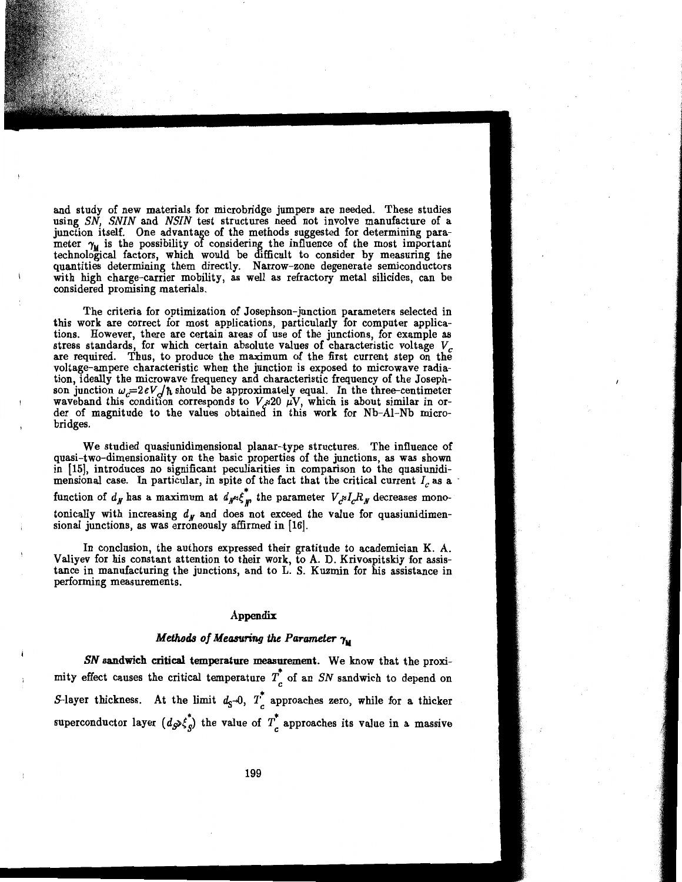and study of new materials for microbridge jumpers are needed. These studies using *SN, SNIN* and *NSIN* test structures need not involve manufacture of a junction itself. One advantage of the methods suggested for determining parameter  $\gamma_{\mathbf{u}}$  is the possibility of considering the influence of the most important technological factors, which would be difficult to consider by measuring the quantities determining them directly. Narrow-zone degenerate semiconductors with high charge-carrier mobility, as well as refractory metal silicides, can be considered promising materials.

The criteria for optimization of Josephson-junction parameters selected in this work are correct for most applications, particularly for computer applications. However, there are certain areas of use of the junctions, for example as stress standards, for which certain absolute values of characteristic voltage  $V_c$ are required. Thus, to produce the maximum of the first current step on the voltage-ampere characteristic when the junction is exposed to microwave radiation, ideally the microwave frequency and characteristic frequency of the Josephson junction  $\omega_c=2eV/dh$  should be approximately equal. In the three-centimeter waveband this condition corresponds to  $V_{\mu} \otimes 20 \mu V$ , which is about similar in order of magnitude to the values obtained in this work for Nb-Al-Nb microbridges.

We studied quasiunidimensional planar-type structures. The influence of quasi-two-dimensionality on the basic properties of the junctions, as was shown in [15], introduces no significant peculiarities in comparison to the quasiunidimensional case. In particular, in spite of the fact that the critical current  $I_c$  as a function of  $d_N$  has a maximum at  $d_N \ll \frac{1}{k}$  the parameter  $V_c \ll l_c R_N$  decreases monotonically with increasing  $d<sub>N</sub>$  and does not exceed the value for quasiunidimensional junctions, as was erroneously affirmed in [16].

In conclusion, the authors expressed their gratitude to academician K. A. Valiyev for his constant attention to their work, to A. D. Krivospitskiy for assistance in manufacturing the junctions, and to L. S. Kuzmin for his assistance in performing measurements.

### Appendix

## $\bm{\mathit{Methods}}$  of  $\bm{\mathit{Measureing}}$  the Parameter  $\bm{\gamma_\text{M}}$

*SN* sandwich critical temperature measurement. We know that the proximity effect causes the critical temperature  $T_c$  of an *SN* sandwich to depend on 5-layer thickness. At the limit  $d_S=0$ ,  $T_c^*$  approaches zero, while for a thicker superconductor layer  $(d_{\mathcal{S}}\xi_{g}^{*})$  the value of  $T_{c}^{*}$  approaches its value in a massive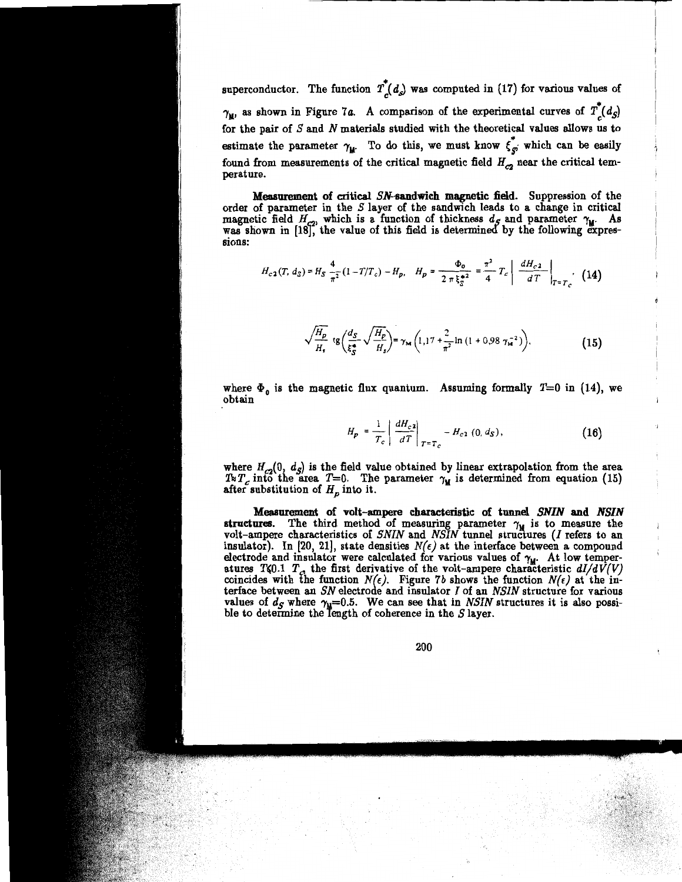superconductor. The function  $T_c^*(d_s)$  was computed in (17) for various values of  $\gamma_{\mathbf{u}}$ , as shown in Figure 7a. A comparison of the experimental curves of  $T_{c}(d_{5})$ for the pair of *S* and *N* materials studied with the theoretical values allows us to estimate the parameter  $\gamma_{\mathbf{M}}$ . To do this, we must know  $\xi_{g'}^*$  which can be easily found from measurements of the critical magnetic field  $H_{c2}$  near the critical temperature.

Measurement of critical SN-sandwich magnetic field. Suppression of the order of parameter in the *S* layer of the sandwich leads to a change in critical magnetic field  $H_{c2}$ , which is a function of thickness  $d_S$  and parameter  $\gamma_M$ . As was shown in (18f, the value of this field is determined by the following expressions:

$$
H_{c2}(T, d_S) = H_S \frac{4}{\pi^2} (1 - T/T_c) - H_p, \quad H_p = \frac{\Phi_0}{2 \pi \xi_S^*} = \frac{\pi^2}{4} T_c \left| \frac{dH_{c2}}{dT} \right|_{T = T_c} \tag{14}
$$

$$
\sqrt{\frac{H_p}{H_s}} \text{tg} \left( \frac{d_S}{\xi_S^*} \sqrt{\frac{H_p}{H_s}} \right) = \gamma_{\text{M}} \left( 1, 17 + \frac{2}{\pi^2} \ln \left( 1 + 0.98 \gamma_{\text{M}}^{-2} \right) \right), \tag{15}
$$

where  $\Phi_0$  is the magnetic flux quantum. Assuming formally  $T=0$  in (14), we obtain

$$
H_{p} = \frac{1}{T_{c}} \left| \frac{dH_{c2}}{dT} \right|_{T=T_{c}} - H_{c2} (0, d_{S}), \qquad (16)
$$

where  $H_{c2}(0, d_S)$  is the field value obtained by linear extrapolation from the area  $T \times T_c$  into the area  $T=0$ . The parameter  $\gamma_M$  is determined from equation (15) after substitution of  $H_p$  into it.

Measurement of volt-ampere characteristic of tunnel *SNIN* and *NSIN*  structures. The third method of measuring parameter  $\gamma_M$  is to measure the volt-ampere characteristics of *SNIN* and *NSIN* tunnel structures (*I* refers to an insulator). In [20, 21], state densities  $N(\epsilon)$  at the interface between a compound electrode and insulator were calculated for various values of  $\gamma_W$ . At low temperatures T<sub>40</sub>.1  $T_c$ , the first derivative of the volt-ampere characteristic  $dI/dV(V)$ coincides with the function  $N(\epsilon)$ . Figure 7b shows the function  $N(\epsilon)$  at the interface between an *SN* electrode and insulator *I* of an *NSIN* structure for various values of  $d_S$  where  $\gamma_{\rm M}$ =0.5. We can see that in *NSIN* structures it is also possi-<br>ble to determine the length of coherence in the S layer.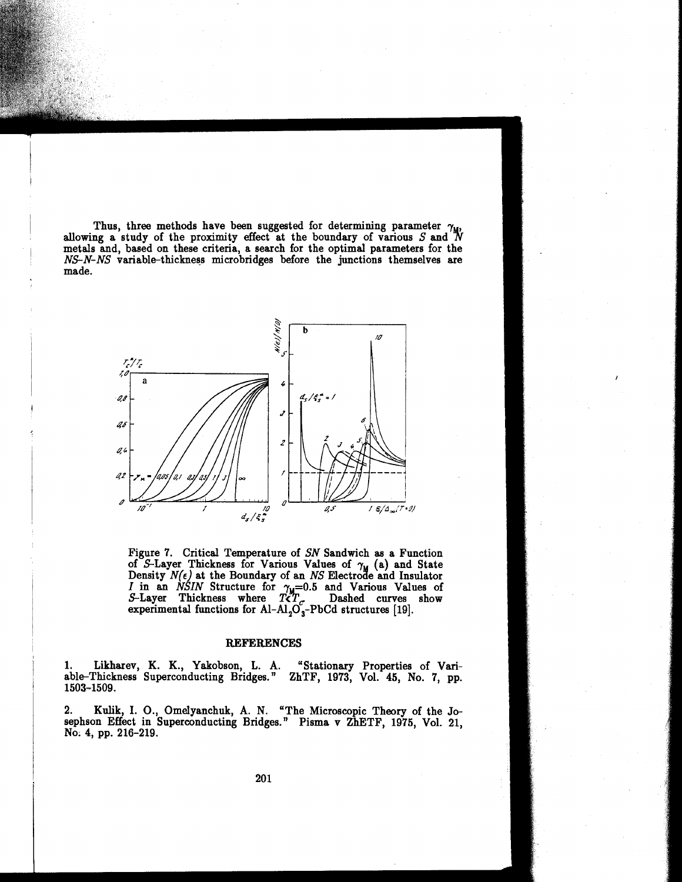Thus, three methods have been suggested for determining parameter  $\gamma_{\rm M}$ , allowing a study of the proximity effect at the boundary of various *S* and <sup>N</sup> metals and, based on these criteria, a search for the optimal parameters for the *NS-N-NS* variable-thickness microbridges before the junctions themselves are made.



Figure 7. Critical Temperature of *SN* Sandwich as a Function of S-Layer Thickness for Various Values of  $\gamma_{\rm M}$  (a) and State Density  $N(\epsilon)$  at the Boundary of an *NS* Electrode and Insulator *I* in an *NSIN* Structure for  $\gamma_{\rm u}=0.5$  and Various Values of S-Layer Thickness where  $T\zeta T_{\epsilon}$ . Dashed curves show experimental functions for Al-Al<sub>2</sub>O<sub>3</sub>-PbCd structures [19].

### REFERENCES

1. Likharev, K. K., Yakobson, L. A. "Stationary Properties of Variable-Thickness Superconducting Bridges." ZhTF, 1973, Vol. 45, No. 7, pp. 1503-1509.

2. Kulik, I. 0., Omelyanchuk, A. N. "The Microscopic Theory of the Josephson Effect in Superconducting Bridges." Pisma v ZhETF, 1975, Vol. 21, No; 4, pp. 216-219.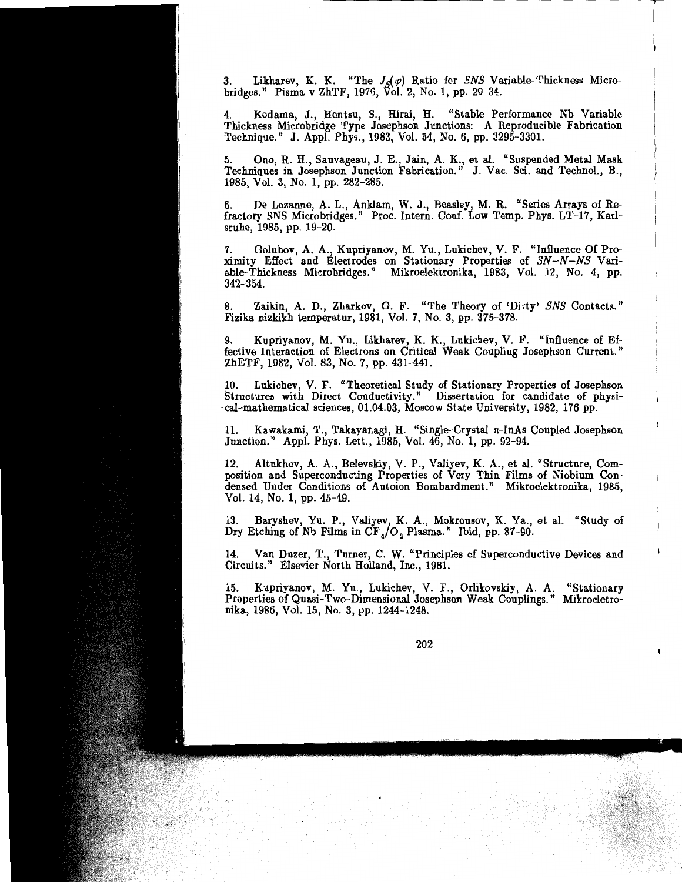3. Likharev, K. K. "The  $J_{\mathcal{S}}(\varphi)$  Ratio for SNS Variable-Thickness Microbridges." Pisma v ZhTF, 1976, Vol. 2, No. 1, pp. 29-34.

4. Kodama, J., Hontsu, S., Hirai, H. "Stable Performance Nb Variable Thickness Microbridge Type Josephson Junctions: A Reproducible Fabrication Technique." J. Appl. Phys., 1983, Vol. 54, No. 6, pp. 3295-3301.

5. Ono, R. H., Sauvageau, J. E., Jain, A. K., et al. "Suspended Metal Mask Techniques in Josephson Junction Fabrication." J. Vac. Sci. and Technol., B., 1985, Vol. 3, No. 1, pp. 282-285.

6. De Lozanne, A. L., Anklam, W. J., Beasley, M. R. "Series Arrays of Refractory SNS Microbridges." Proc. Intern. Conf. Low Temp. Phys. LT-17, Karlsruhe, 1985, pp. 19-20.

7. Golubov, A. A., Kupriyanov, M. Yu., Lukichev, V. F. "Influence Of Proximity Effect and Electrodes on Stationary Properties of SN-N-NS Variable-Thickness Microbridges." Mikroelektronika, 1983, Vol. 12, No. 4, pp. 342-354.

8. Zaikin, A. D., Zharkov, G. F. "The Theory of 'Dirty' SNS Contacts." Fizika nizkikh temperatur, 1981, Vol. 7, No. 3, pp. 375-378.

9. Kupriyanov, M. Yu., Likharev, K. K., Lukichev, V. F. "Influence of Effective Interaction of Electrons on Critical Weak Coupling Josephson Current." ZhETF, 1982, Vol. 83, No. 7, pp. 431-441.

10. Lukichev, V. F. "Theoretical Study of Stationary Properties of Josephson Structures with Direct Conductivity." Dissertation for candidate of physi cal-mathematical sciences, 01.04.03, Moscow State University, 1982, 176 pp.

11. Kawakami, T., Takayanagi, H. "Single-Crystal n-InAs Coupled Josephson Junction." Appl. Phys. Lett., 1985, Vol. 46, No. 1, pp. 92-94.

12. Altukhov, A. A., Belevskiy, V. P., Valiyev, K. A., et al. "Structure, Composition and Superconducting Properties of Very Thin Films of Niobium Condensed Under Conditions of Autoion Bombardment." Mikroelektronika, 1985, Vol. 14, No. 1, pp. 45-49.

13. Baryshev, Yu. P., Valiyev, K. A., Mokrousov, K. Ya., et al. "Study of Dry Etching of Nb Films in  $CF_4/O$ , Plasma." Ibid, pp. 87-90.

14. Van Duzer, T., Turner, C. W. "Principles of Superconductive Devices and Circuits." Elsevier North Holland, Inc., 1981.

15. Kupriyanov, M. Yu., Lukichev, V. F., Orlikovskiy, A. A. "Stationary Properties of Quasi-Two-Dimensional Josephson Weak Couplings." Mikroeletronika, 1986, Vol. 15, No. 3, pp. 1244-1248.